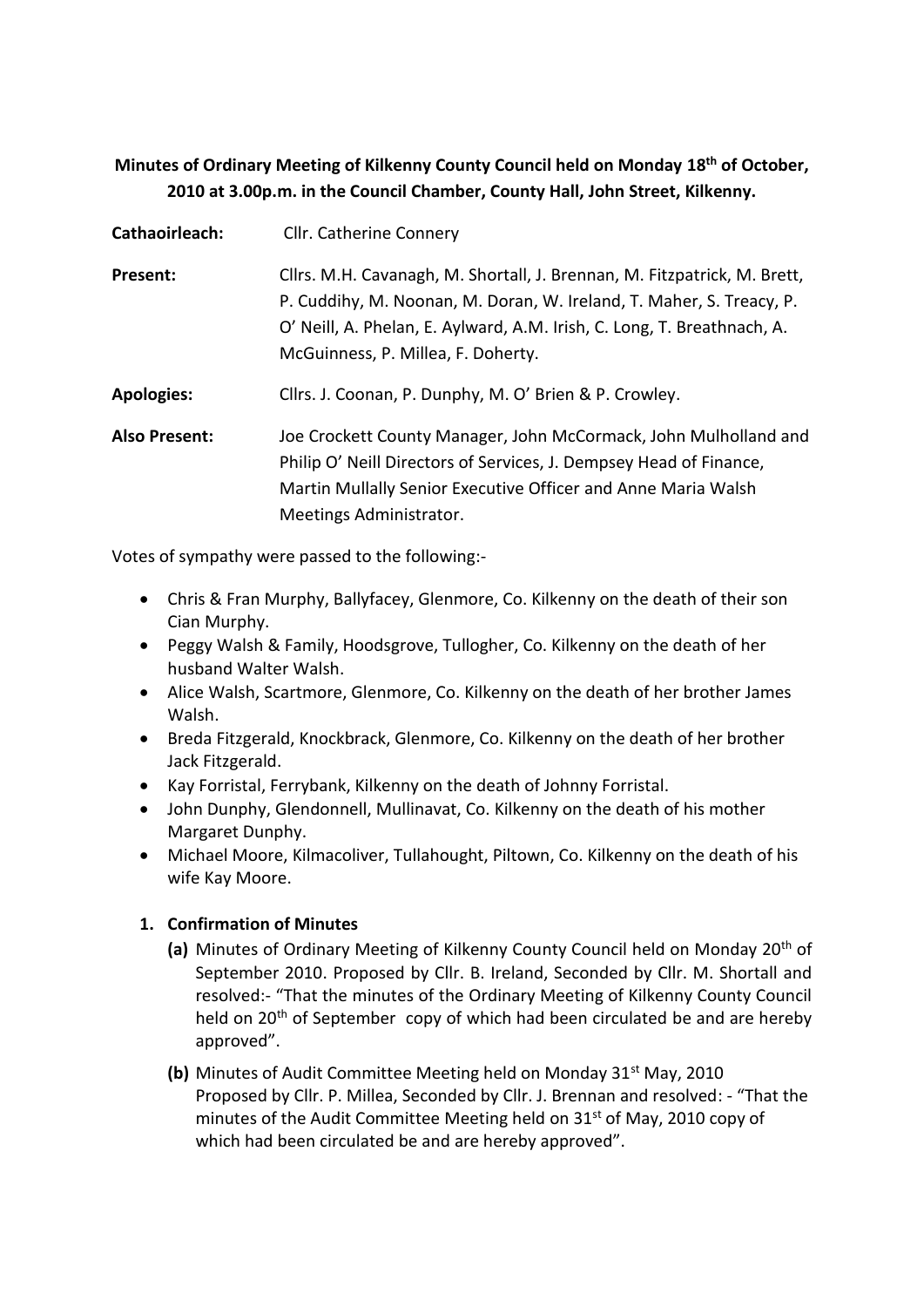# **Minutes of Ordinary Meeting of Kilkenny County Council held on Monday 18th of October, 2010 at 3.00p.m. in the Council Chamber, County Hall, John Street, Kilkenny.**

| Cathaoirleach:       | Cllr. Catherine Connery                                                                                                                                                                                                                                           |
|----------------------|-------------------------------------------------------------------------------------------------------------------------------------------------------------------------------------------------------------------------------------------------------------------|
| Present:             | Cllrs. M.H. Cavanagh, M. Shortall, J. Brennan, M. Fitzpatrick, M. Brett,<br>P. Cuddihy, M. Noonan, M. Doran, W. Ireland, T. Maher, S. Treacy, P.<br>O' Neill, A. Phelan, E. Aylward, A.M. Irish, C. Long, T. Breathnach, A.<br>McGuinness, P. Millea, F. Doherty. |
| <b>Apologies:</b>    | Cllrs. J. Coonan, P. Dunphy, M. O' Brien & P. Crowley.                                                                                                                                                                                                            |
| <b>Also Present:</b> | Joe Crockett County Manager, John McCormack, John Mulholland and<br>Philip O' Neill Directors of Services, J. Dempsey Head of Finance,<br>Martin Mullally Senior Executive Officer and Anne Maria Walsh<br>Meetings Administrator.                                |

Votes of sympathy were passed to the following:-

- Chris & Fran Murphy, Ballyfacey, Glenmore, Co. Kilkenny on the death of their son Cian Murphy.
- Peggy Walsh & Family, Hoodsgrove, Tullogher, Co. Kilkenny on the death of her husband Walter Walsh.
- Alice Walsh, Scartmore, Glenmore, Co. Kilkenny on the death of her brother James Walsh.
- Breda Fitzgerald, Knockbrack, Glenmore, Co. Kilkenny on the death of her brother Jack Fitzgerald.
- Kay Forristal, Ferrybank, Kilkenny on the death of Johnny Forristal.
- John Dunphy, Glendonnell, Mullinavat, Co. Kilkenny on the death of his mother Margaret Dunphy.
- Michael Moore, Kilmacoliver, Tullahought, Piltown, Co. Kilkenny on the death of his wife Kay Moore.

## **1. Confirmation of Minutes**

- **(a)** Minutes of Ordinary Meeting of Kilkenny County Council held on Monday 20th of September 2010. Proposed by Cllr. B. Ireland, Seconded by Cllr. M. Shortall and resolved:- "That the minutes of the Ordinary Meeting of Kilkenny County Council held on 20<sup>th</sup> of September copy of which had been circulated be and are hereby approved".
- **(b)** Minutes of Audit Committee Meeting held on Monday 31<sup>st</sup> May, 2010 Proposed by Cllr. P. Millea, Seconded by Cllr. J. Brennan and resolved: - "That the minutes of the Audit Committee Meeting held on 31<sup>st</sup> of May, 2010 copy of which had been circulated be and are hereby approved".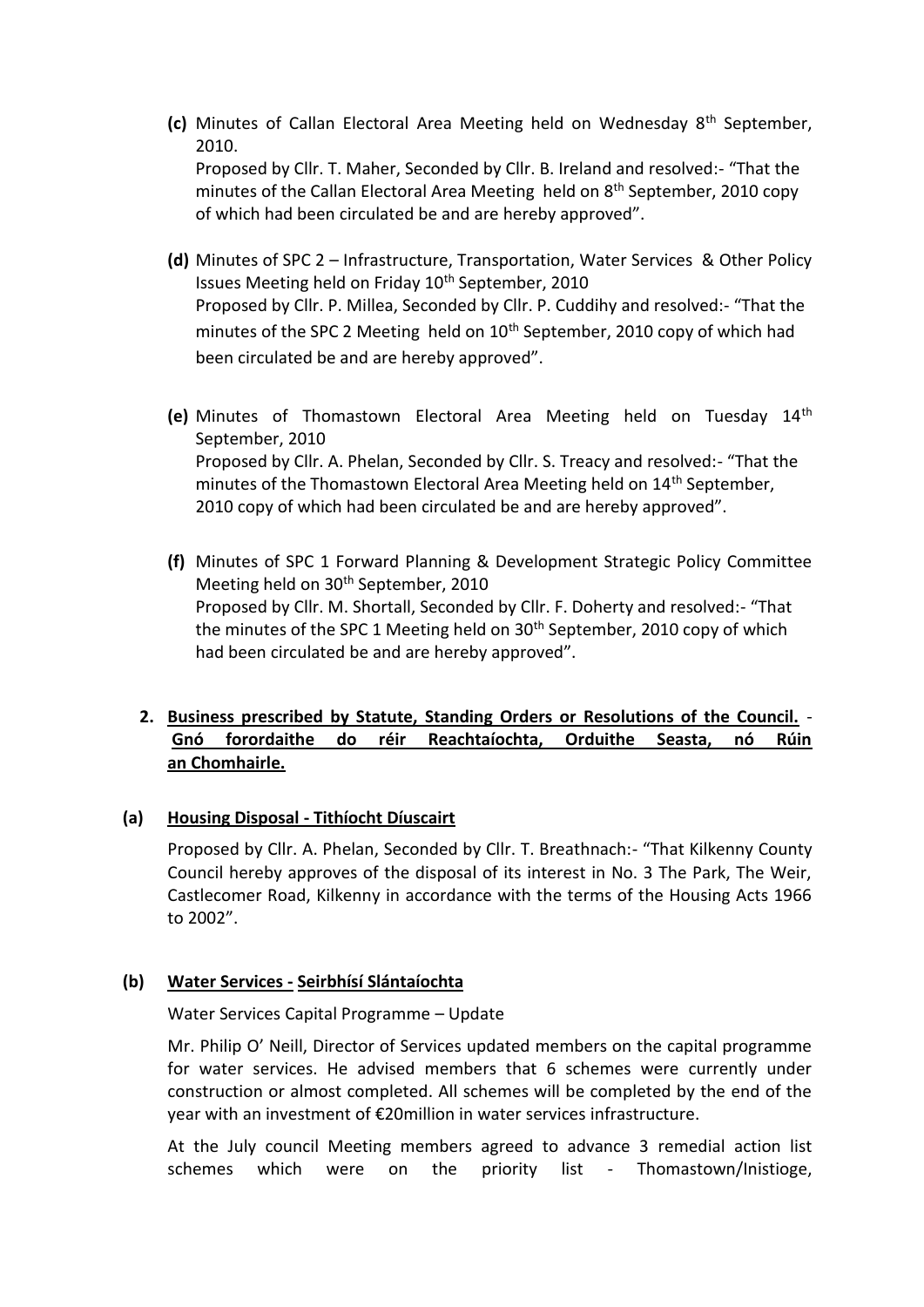- **(c)** Minutes of Callan Electoral Area Meeting held on Wednesday 8th September, 2010. Proposed by Cllr. T. Maher, Seconded by Cllr. B. Ireland and resolved:- "That the minutes of the Callan Electoral Area Meeting held on 8<sup>th</sup> September, 2010 copy of which had been circulated be and are hereby approved".
- **(d)** Minutes of SPC 2 Infrastructure, Transportation, Water Services & Other Policy Issues Meeting held on Friday 10<sup>th</sup> September, 2010 Proposed by Cllr. P. Millea, Seconded by Cllr. P. Cuddihy and resolved:- "That the minutes of the SPC 2 Meeting held on  $10<sup>th</sup>$  September, 2010 copy of which had been circulated be and are hereby approved".
- **(e)** Minutes of Thomastown Electoral Area Meeting held on Tuesday 14th September, 2010 Proposed by Cllr. A. Phelan, Seconded by Cllr. S. Treacy and resolved:- "That the minutes of the Thomastown Electoral Area Meeting held on 14<sup>th</sup> September, 2010 copy of which had been circulated be and are hereby approved".
- **(f)** Minutes of SPC 1 Forward Planning & Development Strategic Policy Committee Meeting held on 30<sup>th</sup> September, 2010 Proposed by Cllr. M. Shortall, Seconded by Cllr. F. Doherty and resolved:- "That the minutes of the SPC 1 Meeting held on 30<sup>th</sup> September, 2010 copy of which had been circulated be and are hereby approved".

## **2. Business prescribed by Statute, Standing Orders or Resolutions of the Council.** - **Gnó forordaithe do réir Reachtaíochta, Orduithe Seasta, nó Rúin an Chomhairle.**

### **(a) Housing Disposal - Tithíocht Díuscairt**

Proposed by Cllr. A. Phelan, Seconded by Cllr. T. Breathnach:- "That Kilkenny County Council hereby approves of the disposal of its interest in No. 3 The Park, The Weir, Castlecomer Road, Kilkenny in accordance with the terms of the Housing Acts 1966 to 2002".

### **(b) Water Services - Seirbhísí Slántaíochta**

Water Services Capital Programme – Update

Mr. Philip O' Neill, Director of Services updated members on the capital programme for water services. He advised members that 6 schemes were currently under construction or almost completed. All schemes will be completed by the end of the year with an investment of €20million in water services infrastructure.

At the July council Meeting members agreed to advance 3 remedial action list schemes which were on the priority list - Thomastown/Inistioge,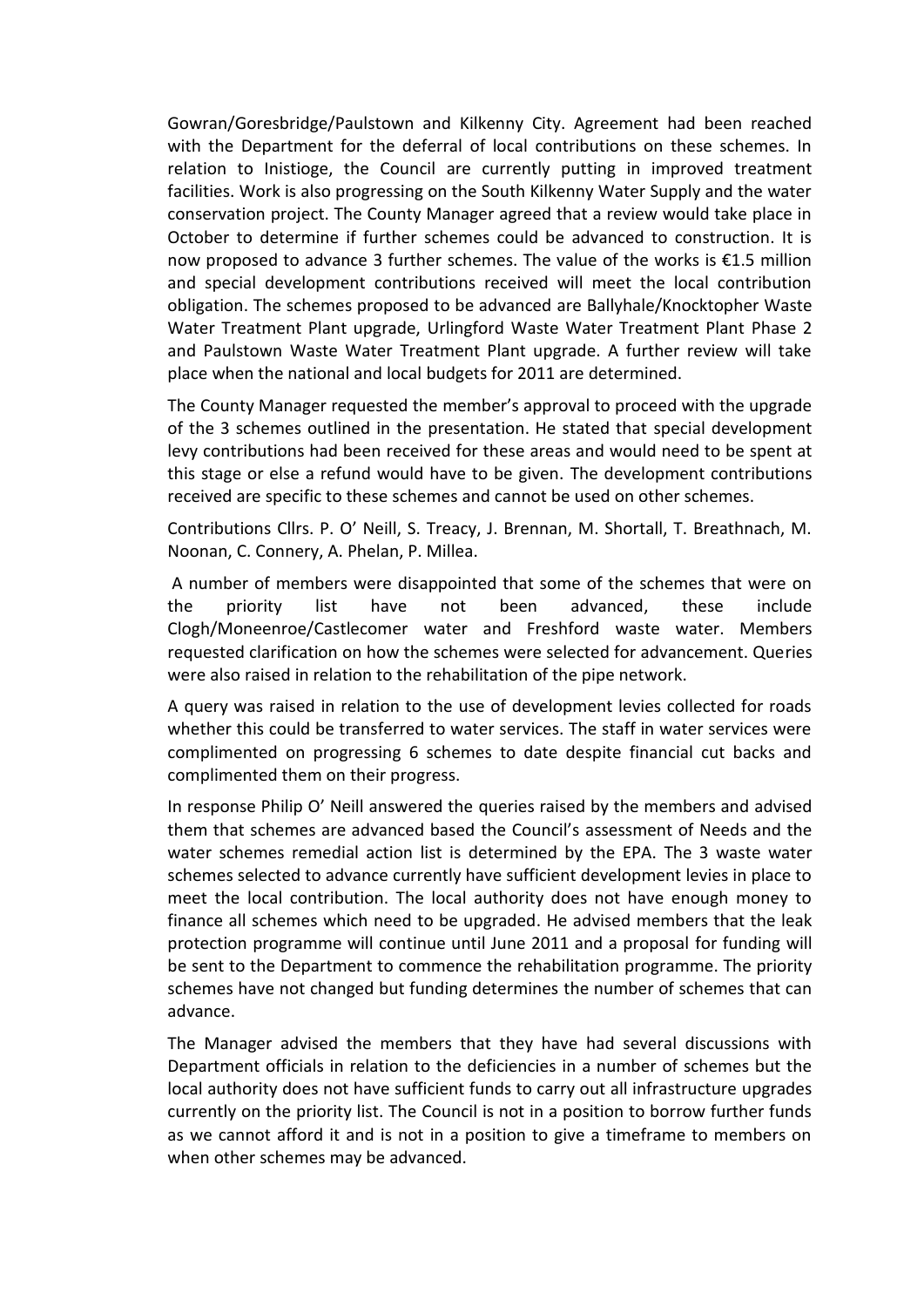Gowran/Goresbridge/Paulstown and Kilkenny City. Agreement had been reached with the Department for the deferral of local contributions on these schemes. In relation to Inistioge, the Council are currently putting in improved treatment facilities. Work is also progressing on the South Kilkenny Water Supply and the water conservation project. The County Manager agreed that a review would take place in October to determine if further schemes could be advanced to construction. It is now proposed to advance 3 further schemes. The value of the works is €1.5 million and special development contributions received will meet the local contribution obligation. The schemes proposed to be advanced are Ballyhale/Knocktopher Waste Water Treatment Plant upgrade, Urlingford Waste Water Treatment Plant Phase 2 and Paulstown Waste Water Treatment Plant upgrade. A further review will take place when the national and local budgets for 2011 are determined.

The County Manager requested the member's approval to proceed with the upgrade of the 3 schemes outlined in the presentation. He stated that special development levy contributions had been received for these areas and would need to be spent at this stage or else a refund would have to be given. The development contributions received are specific to these schemes and cannot be used on other schemes.

Contributions Cllrs. P. O' Neill, S. Treacy, J. Brennan, M. Shortall, T. Breathnach, M. Noonan, C. Connery, A. Phelan, P. Millea.

A number of members were disappointed that some of the schemes that were on the priority list have not been advanced, these include Clogh/Moneenroe/Castlecomer water and Freshford waste water. Members requested clarification on how the schemes were selected for advancement. Queries were also raised in relation to the rehabilitation of the pipe network.

A query was raised in relation to the use of development levies collected for roads whether this could be transferred to water services. The staff in water services were complimented on progressing 6 schemes to date despite financial cut backs and complimented them on their progress.

In response Philip O' Neill answered the queries raised by the members and advised them that schemes are advanced based the Council's assessment of Needs and the water schemes remedial action list is determined by the EPA. The 3 waste water schemes selected to advance currently have sufficient development levies in place to meet the local contribution. The local authority does not have enough money to finance all schemes which need to be upgraded. He advised members that the leak protection programme will continue until June 2011 and a proposal for funding will be sent to the Department to commence the rehabilitation programme. The priority schemes have not changed but funding determines the number of schemes that can advance.

The Manager advised the members that they have had several discussions with Department officials in relation to the deficiencies in a number of schemes but the local authority does not have sufficient funds to carry out all infrastructure upgrades currently on the priority list. The Council is not in a position to borrow further funds as we cannot afford it and is not in a position to give a timeframe to members on when other schemes may be advanced.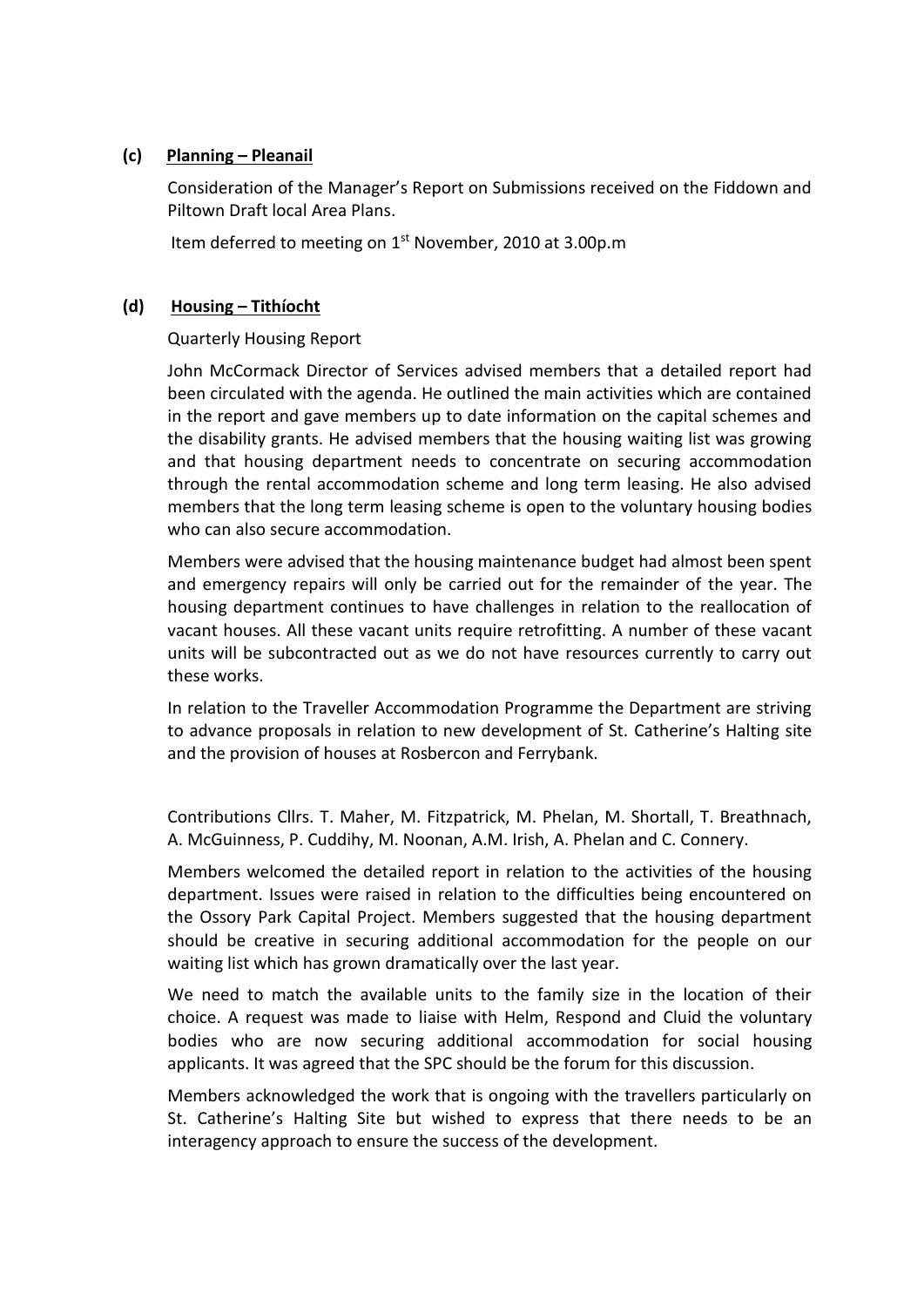### **(c) Planning – Pleanail**

Consideration of the Manager's Report on Submissions received on the Fiddown and Piltown Draft local Area Plans.

Item deferred to meeting on 1<sup>st</sup> November, 2010 at 3.00p.m

### **(d) Housing – Tithíocht**

### Quarterly Housing Report

John McCormack Director of Services advised members that a detailed report had been circulated with the agenda. He outlined the main activities which are contained in the report and gave members up to date information on the capital schemes and the disability grants. He advised members that the housing waiting list was growing and that housing department needs to concentrate on securing accommodation through the rental accommodation scheme and long term leasing. He also advised members that the long term leasing scheme is open to the voluntary housing bodies who can also secure accommodation.

Members were advised that the housing maintenance budget had almost been spent and emergency repairs will only be carried out for the remainder of the year. The housing department continues to have challenges in relation to the reallocation of vacant houses. All these vacant units require retrofitting. A number of these vacant units will be subcontracted out as we do not have resources currently to carry out these works.

In relation to the Traveller Accommodation Programme the Department are striving to advance proposals in relation to new development of St. Catherine's Halting site and the provision of houses at Rosbercon and Ferrybank.

Contributions Cllrs. T. Maher, M. Fitzpatrick, M. Phelan, M. Shortall, T. Breathnach, A. McGuinness, P. Cuddihy, M. Noonan, A.M. Irish, A. Phelan and C. Connery.

Members welcomed the detailed report in relation to the activities of the housing department. Issues were raised in relation to the difficulties being encountered on the Ossory Park Capital Project. Members suggested that the housing department should be creative in securing additional accommodation for the people on our waiting list which has grown dramatically over the last year.

We need to match the available units to the family size in the location of their choice. A request was made to liaise with Helm, Respond and Cluid the voluntary bodies who are now securing additional accommodation for social housing applicants. It was agreed that the SPC should be the forum for this discussion.

Members acknowledged the work that is ongoing with the travellers particularly on St. Catherine's Halting Site but wished to express that there needs to be an interagency approach to ensure the success of the development.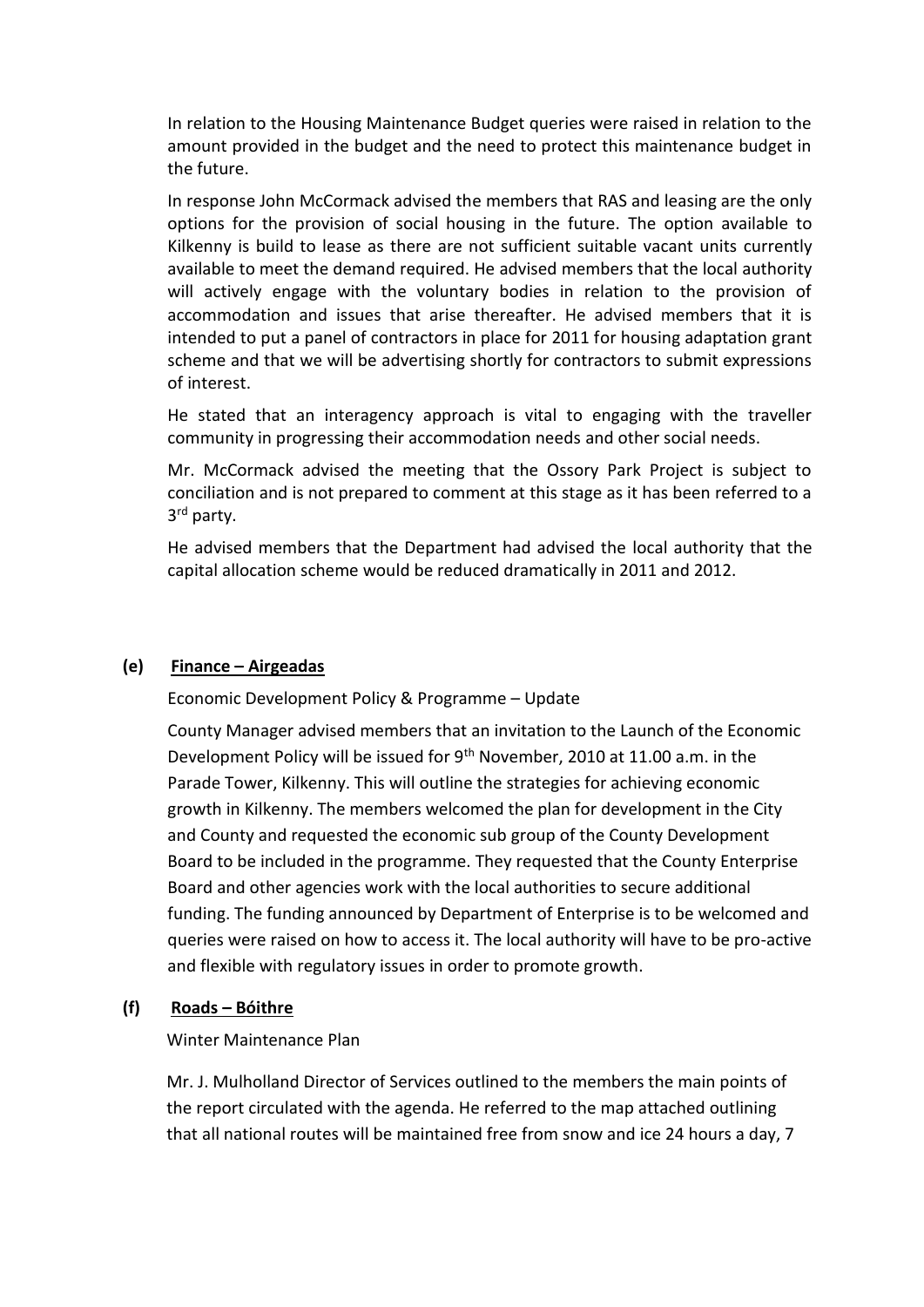In relation to the Housing Maintenance Budget queries were raised in relation to the amount provided in the budget and the need to protect this maintenance budget in the future.

In response John McCormack advised the members that RAS and leasing are the only options for the provision of social housing in the future. The option available to Kilkenny is build to lease as there are not sufficient suitable vacant units currently available to meet the demand required. He advised members that the local authority will actively engage with the voluntary bodies in relation to the provision of accommodation and issues that arise thereafter. He advised members that it is intended to put a panel of contractors in place for 2011 for housing adaptation grant scheme and that we will be advertising shortly for contractors to submit expressions of interest.

He stated that an interagency approach is vital to engaging with the traveller community in progressing their accommodation needs and other social needs.

Mr. McCormack advised the meeting that the Ossory Park Project is subject to conciliation and is not prepared to comment at this stage as it has been referred to a 3 rd party.

He advised members that the Department had advised the local authority that the capital allocation scheme would be reduced dramatically in 2011 and 2012.

## **(e) Finance – Airgeadas**

Economic Development Policy & Programme – Update

County Manager advised members that an invitation to the Launch of the Economic Development Policy will be issued for 9th November, 2010 at 11.00 a.m. in the Parade Tower, Kilkenny. This will outline the strategies for achieving economic growth in Kilkenny. The members welcomed the plan for development in the City and County and requested the economic sub group of the County Development Board to be included in the programme. They requested that the County Enterprise Board and other agencies work with the local authorities to secure additional funding. The funding announced by Department of Enterprise is to be welcomed and queries were raised on how to access it. The local authority will have to be pro-active and flexible with regulatory issues in order to promote growth.

## **(f) Roads – Bóithre**

### Winter Maintenance Plan

Mr. J. Mulholland Director of Services outlined to the members the main points of the report circulated with the agenda. He referred to the map attached outlining that all national routes will be maintained free from snow and ice 24 hours a day, 7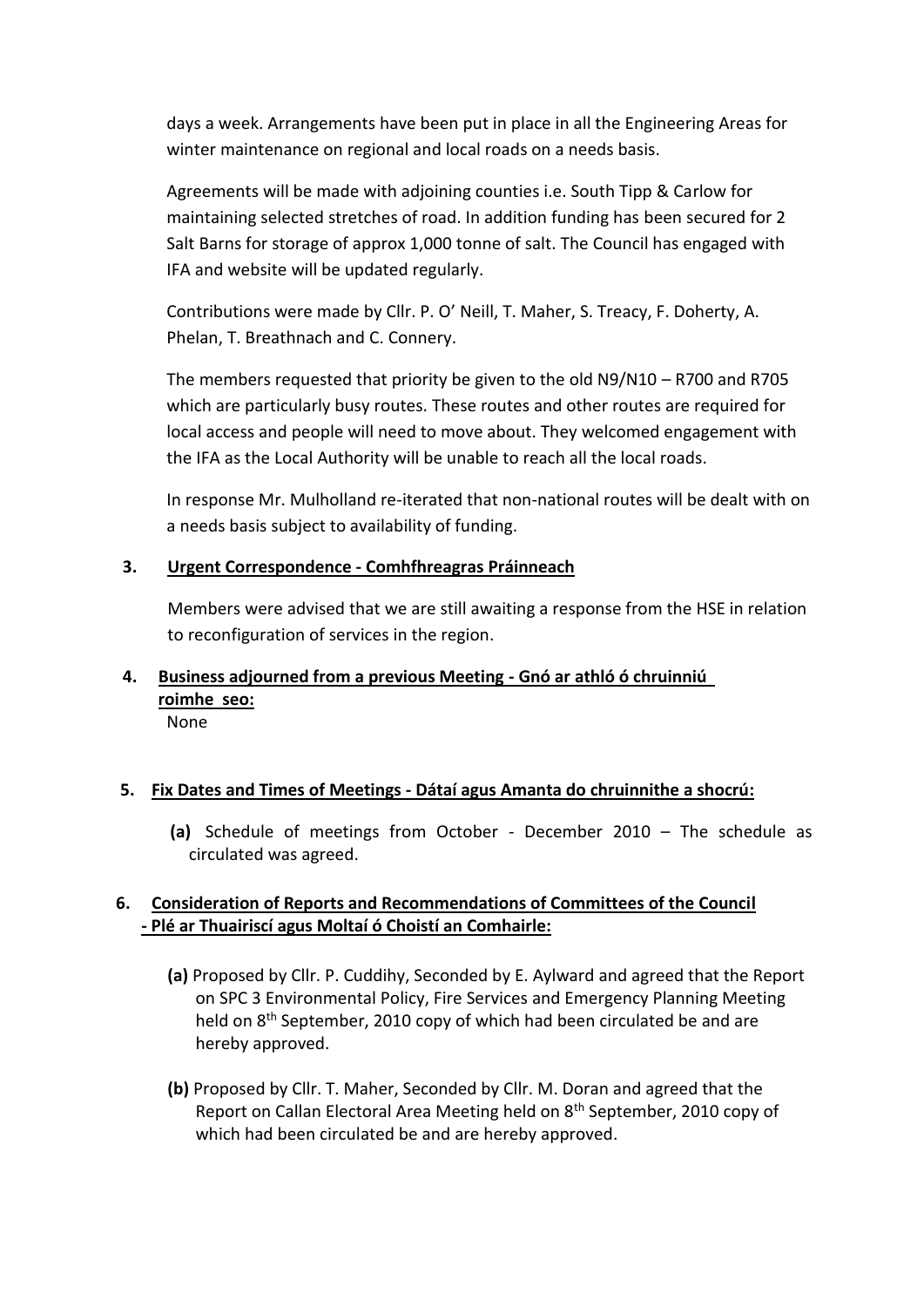days a week. Arrangements have been put in place in all the Engineering Areas for winter maintenance on regional and local roads on a needs basis.

Agreements will be made with adjoining counties i.e. South Tipp & Carlow for maintaining selected stretches of road. In addition funding has been secured for 2 Salt Barns for storage of approx 1,000 tonne of salt. The Council has engaged with IFA and website will be updated regularly.

Contributions were made by Cllr. P. O' Neill, T. Maher, S. Treacy, F. Doherty, A. Phelan, T. Breathnach and C. Connery.

The members requested that priority be given to the old N9/N10 – R700 and R705 which are particularly busy routes. These routes and other routes are required for local access and people will need to move about. They welcomed engagement with the IFA as the Local Authority will be unable to reach all the local roads.

In response Mr. Mulholland re-iterated that non-national routes will be dealt with on a needs basis subject to availability of funding.

## **3. Urgent Correspondence - Comhfhreagras Práinneach**

Members were advised that we are still awaiting a response from the HSE in relation to reconfiguration of services in the region.

# **4. Business adjourned from a previous Meeting - Gnó ar athló ó chruinniú roimhe seo:**

None

## **5. Fix Dates and Times of Meetings - Dátaí agus Amanta do chruinnithe a shocrú:**

**(a)** Schedule of meetings from October - December 2010 – The schedule as circulated was agreed.

## **6. Consideration of Reports and Recommendations of Committees of the Council - Plé ar Thuairiscí agus Moltaí ó Choistí an Comhairle:**

- **(a)** Proposed by Cllr. P. Cuddihy, Seconded by E. Aylward and agreed that the Report on SPC 3 Environmental Policy, Fire Services and Emergency Planning Meeting held on 8<sup>th</sup> September, 2010 copy of which had been circulated be and are hereby approved.
- **(b)** Proposed by Cllr. T. Maher, Seconded by Cllr. M. Doran and agreed that the Report on Callan Electoral Area Meeting held on 8<sup>th</sup> September, 2010 copy of which had been circulated be and are hereby approved.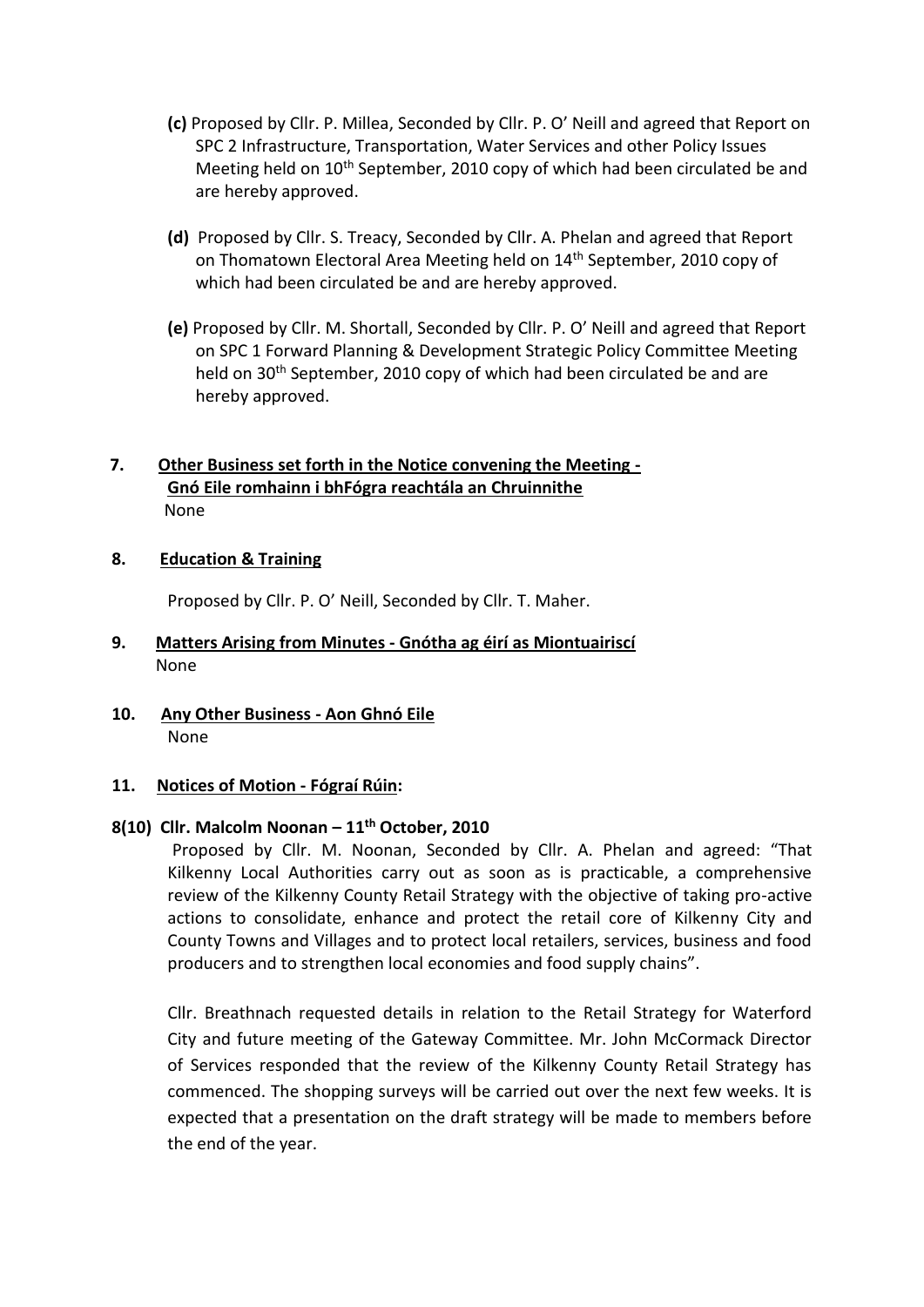- **(c)** Proposed by Cllr. P. Millea, Seconded by Cllr. P. O' Neill and agreed that Report on SPC 2 Infrastructure, Transportation, Water Services and other Policy Issues Meeting held on 10<sup>th</sup> September, 2010 copy of which had been circulated be and are hereby approved.
- **(d)** Proposed by Cllr. S. Treacy, Seconded by Cllr. A. Phelan and agreed that Report on Thomatown Electoral Area Meeting held on 14<sup>th</sup> September, 2010 copy of which had been circulated be and are hereby approved.
- **(e)** Proposed by Cllr. M. Shortall, Seconded by Cllr. P. O' Neill and agreed that Report on SPC 1 Forward Planning & Development Strategic Policy Committee Meeting held on 30<sup>th</sup> September, 2010 copy of which had been circulated be and are hereby approved.

## **7. Other Business set forth in the Notice convening the Meeting - Gnó Eile romhainn i bhFógra reachtála an Chruinnithe** None

### **8. Education & Training**

Proposed by Cllr. P. O' Neill, Seconded by Cllr. T. Maher.

### **9. Matters Arising from Minutes - Gnótha ag éirí as Miontuairiscí** None

**10. Any Other Business - Aon Ghnó Eile** None

#### **11. Notices of Motion - Fógraí Rúin:**

### **8(10) Cllr. Malcolm Noonan – 11th October, 2010**

Proposed by Cllr. M. Noonan, Seconded by Cllr. A. Phelan and agreed: "That Kilkenny Local Authorities carry out as soon as is practicable, a comprehensive review of the Kilkenny County Retail Strategy with the objective of taking pro-active actions to consolidate, enhance and protect the retail core of Kilkenny City and County Towns and Villages and to protect local retailers, services, business and food producers and to strengthen local economies and food supply chains".

Cllr. Breathnach requested details in relation to the Retail Strategy for Waterford City and future meeting of the Gateway Committee. Mr. John McCormack Director of Services responded that the review of the Kilkenny County Retail Strategy has commenced. The shopping surveys will be carried out over the next few weeks. It is expected that a presentation on the draft strategy will be made to members before the end of the year.